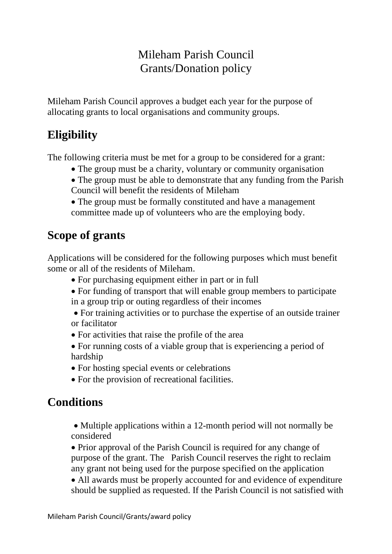### Mileham Parish Council Grants/Donation policy

Mileham Parish Council approves a budget each year for the purpose of allocating grants to local organisations and community groups.

# **Eligibility**

The following criteria must be met for a group to be considered for a grant:

- The group must be a charity, voluntary or community organisation
- The group must be able to demonstrate that any funding from the Parish Council will benefit the residents of Mileham

• The group must be formally constituted and have a management committee made up of volunteers who are the employing body.

## **Scope of grants**

Applications will be considered for the following purposes which must benefit some or all of the residents of Mileham.

- For purchasing equipment either in part or in full
- For funding of transport that will enable group members to participate in a group trip or outing regardless of their incomes
- For training activities or to purchase the expertise of an outside trainer or facilitator
- For activities that raise the profile of the area
- For running costs of a viable group that is experiencing a period of hardship
- For hosting special events or celebrations
- For the provision of recreational facilities.

## **Conditions**

• Multiple applications within a 12-month period will not normally be considered

• Prior approval of the Parish Council is required for any change of purpose of the grant. The Parish Council reserves the right to reclaim any grant not being used for the purpose specified on the application

• All awards must be properly accounted for and evidence of expenditure should be supplied as requested. If the Parish Council is not satisfied with